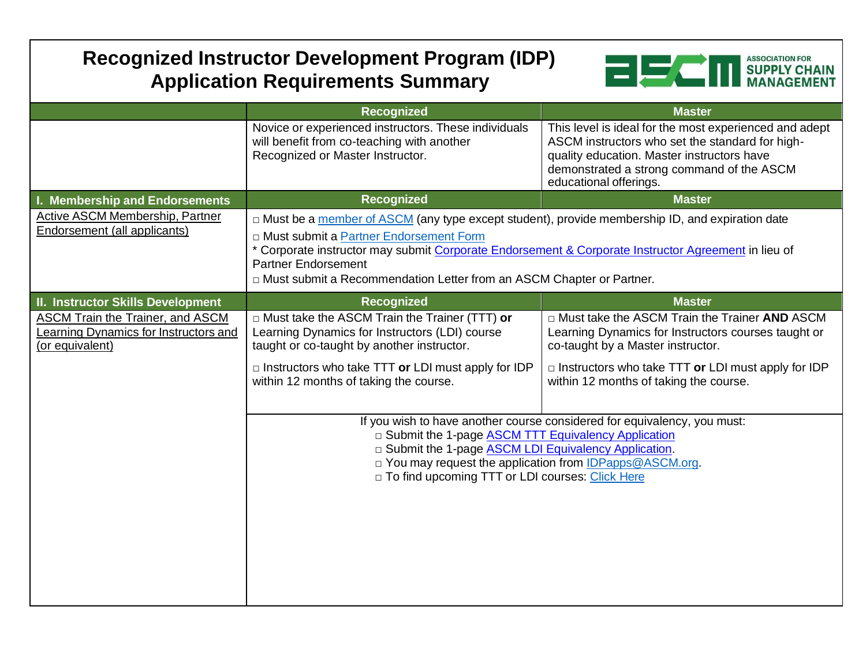## **Recognized Instructor Development Program (IDP) Application Requirements Summary**



|                                                                                              | Recognized                                                                                                                                                                                                                                                                                                                                                   | <b>Master</b>                                                                                                                                                                                                                                      |
|----------------------------------------------------------------------------------------------|--------------------------------------------------------------------------------------------------------------------------------------------------------------------------------------------------------------------------------------------------------------------------------------------------------------------------------------------------------------|----------------------------------------------------------------------------------------------------------------------------------------------------------------------------------------------------------------------------------------------------|
|                                                                                              | Novice or experienced instructors. These individuals<br>will benefit from co-teaching with another<br>Recognized or Master Instructor.                                                                                                                                                                                                                       | This level is ideal for the most experienced and adept<br>ASCM instructors who set the standard for high-<br>quality education. Master instructors have<br>demonstrated a strong command of the ASCM<br>educational offerings.                     |
| I. Membership and Endorsements                                                               | <b>Recognized</b>                                                                                                                                                                                                                                                                                                                                            | <b>Master</b>                                                                                                                                                                                                                                      |
| Active ASCM Membership, Partner<br>Endorsement (all applicants)                              | □ Must be a member of ASCM (any type except student), provide membership ID, and expiration date<br>D Must submit a Partner Endorsement Form<br>* Corporate instructor may submit Corporate Endorsement & Corporate Instructor Agreement in lieu of<br><b>Partner Endorsement</b><br>In Must submit a Recommendation Letter from an ASCM Chapter or Partner. |                                                                                                                                                                                                                                                    |
| <b>II. Instructor Skills Development</b>                                                     | Recognized                                                                                                                                                                                                                                                                                                                                                   | <b>Master</b>                                                                                                                                                                                                                                      |
| ASCM Train the Trainer, and ASCM<br>Learning Dynamics for Instructors and<br>(or equivalent) | □ Must take the ASCM Train the Trainer (TTT) or<br>Learning Dynamics for Instructors (LDI) course<br>taught or co-taught by another instructor.<br>$\Box$ Instructors who take TTT or LDI must apply for IDP<br>within 12 months of taking the course.                                                                                                       | □ Must take the ASCM Train the Trainer AND ASCM<br>Learning Dynamics for Instructors courses taught or<br>co-taught by a Master instructor.<br>$\Box$ Instructors who take TTT or LDI must apply for IDP<br>within 12 months of taking the course. |
|                                                                                              | If you wish to have another course considered for equivalency, you must:<br>□ Submit the 1-page ASCM TTT Equivalency Application<br>□ Submit the 1-page ASCM LDI Equivalency Application.<br>□ You may request the application from IDPapps@ASCM.org.<br>D To find upcoming TTT or LDI courses: Click Here                                                   |                                                                                                                                                                                                                                                    |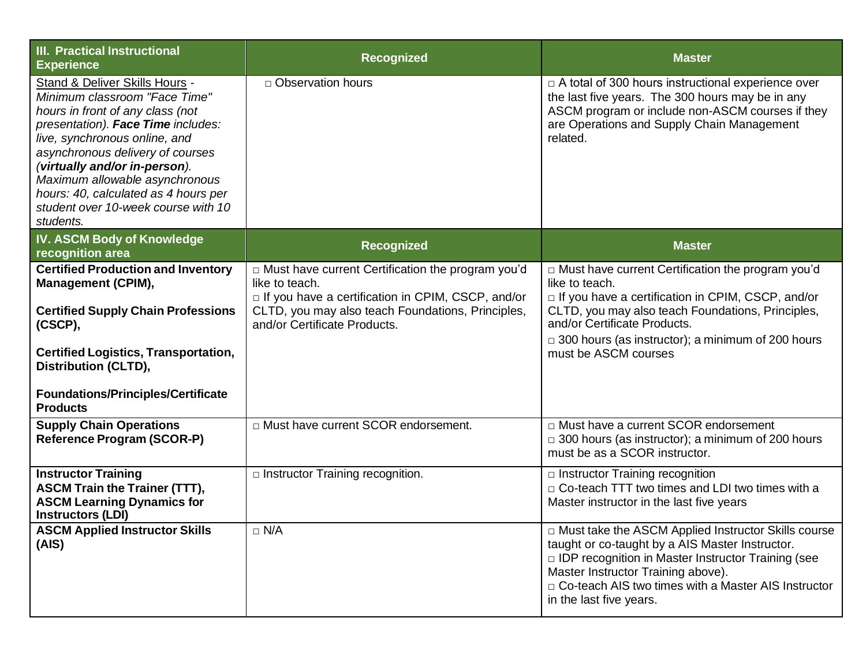| <b>III. Practical Instructional</b><br><b>Experience</b>                                                                                                                                                                                                                                                                                                                      | <b>Recognized</b>                                                                                                                                                                                                 | <b>Master</b>                                                                                                                                                                                                                                                                                              |
|-------------------------------------------------------------------------------------------------------------------------------------------------------------------------------------------------------------------------------------------------------------------------------------------------------------------------------------------------------------------------------|-------------------------------------------------------------------------------------------------------------------------------------------------------------------------------------------------------------------|------------------------------------------------------------------------------------------------------------------------------------------------------------------------------------------------------------------------------------------------------------------------------------------------------------|
| Stand & Deliver Skills Hours -<br>Minimum classroom "Face Time"<br>hours in front of any class (not<br>presentation). Face Time includes:<br>live, synchronous online, and<br>asynchronous delivery of courses<br>(virtually and/or in-person).<br>Maximum allowable asynchronous<br>hours: 40, calculated as 4 hours per<br>student over 10-week course with 10<br>students. | □ Observation hours                                                                                                                                                                                               | □ A total of 300 hours instructional experience over<br>the last five years. The 300 hours may be in any<br>ASCM program or include non-ASCM courses if they<br>are Operations and Supply Chain Management<br>related.                                                                                     |
| <b>IV. ASCM Body of Knowledge</b><br>recognition area                                                                                                                                                                                                                                                                                                                         | <b>Recognized</b>                                                                                                                                                                                                 | <b>Master</b>                                                                                                                                                                                                                                                                                              |
| <b>Certified Production and Inventory</b><br><b>Management (CPIM),</b><br><b>Certified Supply Chain Professions</b><br>(CSCP),<br><b>Certified Logistics, Transportation,</b><br><b>Distribution (CLTD),</b><br><b>Foundations/Principles/Certificate</b><br><b>Products</b>                                                                                                  | D Must have current Certification the program you'd<br>like to teach.<br>□ If you have a certification in CPIM, CSCP, and/or<br>CLTD, you may also teach Foundations, Principles,<br>and/or Certificate Products. | □ Must have current Certification the program you'd<br>like to teach.<br>$\Box$ If you have a certification in CPIM, CSCP, and/or<br>CLTD, you may also teach Foundations, Principles,<br>and/or Certificate Products.<br>$\Box$ 300 hours (as instructor); a minimum of 200 hours<br>must be ASCM courses |
| <b>Supply Chain Operations</b><br><b>Reference Program (SCOR-P)</b>                                                                                                                                                                                                                                                                                                           | □ Must have current SCOR endorsement.                                                                                                                                                                             | □ Must have a current SCOR endorsement<br>$\Box$ 300 hours (as instructor); a minimum of 200 hours<br>must be as a SCOR instructor.                                                                                                                                                                        |
| <b>Instructor Training</b><br><b>ASCM Train the Trainer (TTT),</b><br><b>ASCM Learning Dynamics for</b><br><b>Instructors (LDI)</b>                                                                                                                                                                                                                                           | $\Box$ Instructor Training recognition.                                                                                                                                                                           | $\Box$ Instructor Training recognition<br>$\Box$ Co-teach TTT two times and LDI two times with a<br>Master instructor in the last five years                                                                                                                                                               |
| <b>ASCM Applied Instructor Skills</b><br>(AIS)                                                                                                                                                                                                                                                                                                                                | $\Box$ N/A                                                                                                                                                                                                        | □ Must take the ASCM Applied Instructor Skills course<br>taught or co-taught by a AIS Master Instructor.<br>□ IDP recognition in Master Instructor Training (see<br>Master Instructor Training above).<br>□ Co-teach AIS two times with a Master AIS Instructor<br>in the last five years.                 |